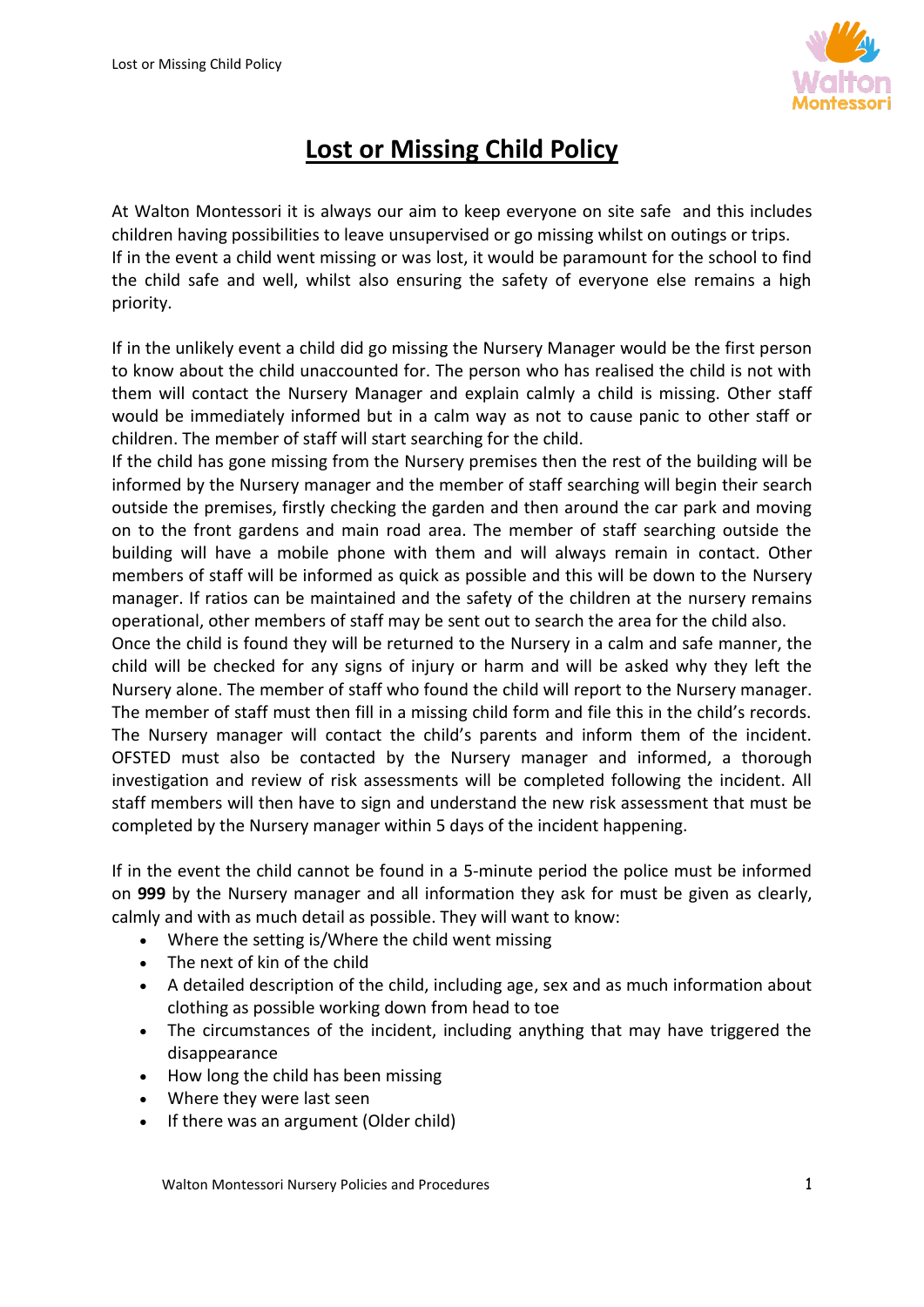

## **Lost or Missing Child Policy**

At Walton Montessori it is always our aim to keep everyone on site safe and this includes children having possibilities to leave unsupervised or go missing whilst on outings or trips. If in the event a child went missing or was lost, it would be paramount for the school to find the child safe and well, whilst also ensuring the safety of everyone else remains a high priority.

If in the unlikely event a child did go missing the Nursery Manager would be the first person to know about the child unaccounted for. The person who has realised the child is not with them will contact the Nursery Manager and explain calmly a child is missing. Other staff would be immediately informed but in a calm way as not to cause panic to other staff or children. The member of staff will start searching for the child.

If the child has gone missing from the Nursery premises then the rest of the building will be informed by the Nursery manager and the member of staff searching will begin their search outside the premises, firstly checking the garden and then around the car park and moving on to the front gardens and main road area. The member of staff searching outside the building will have a mobile phone with them and will always remain in contact. Other members of staff will be informed as quick as possible and this will be down to the Nursery manager. If ratios can be maintained and the safety of the children at the nursery remains operational, other members of staff may be sent out to search the area for the child also.

Once the child is found they will be returned to the Nursery in a calm and safe manner, the child will be checked for any signs of injury or harm and will be asked why they left the Nursery alone. The member of staff who found the child will report to the Nursery manager. The member of staff must then fill in a missing child form and file this in the child's records. The Nursery manager will contact the child's parents and inform them of the incident. OFSTED must also be contacted by the Nursery manager and informed, a thorough investigation and review of risk assessments will be completed following the incident. All staff members will then have to sign and understand the new risk assessment that must be completed by the Nursery manager within 5 days of the incident happening.

If in the event the child cannot be found in a 5-minute period the police must be informed on **999** by the Nursery manager and all information they ask for must be given as clearly, calmly and with as much detail as possible. They will want to know:

- Where the setting is/Where the child went missing
- The next of kin of the child
- A detailed description of the child, including age, sex and as much information about clothing as possible working down from head to toe
- The circumstances of the incident, including anything that may have triggered the disappearance
- How long the child has been missing
- Where they were last seen
- If there was an argument (Older child)